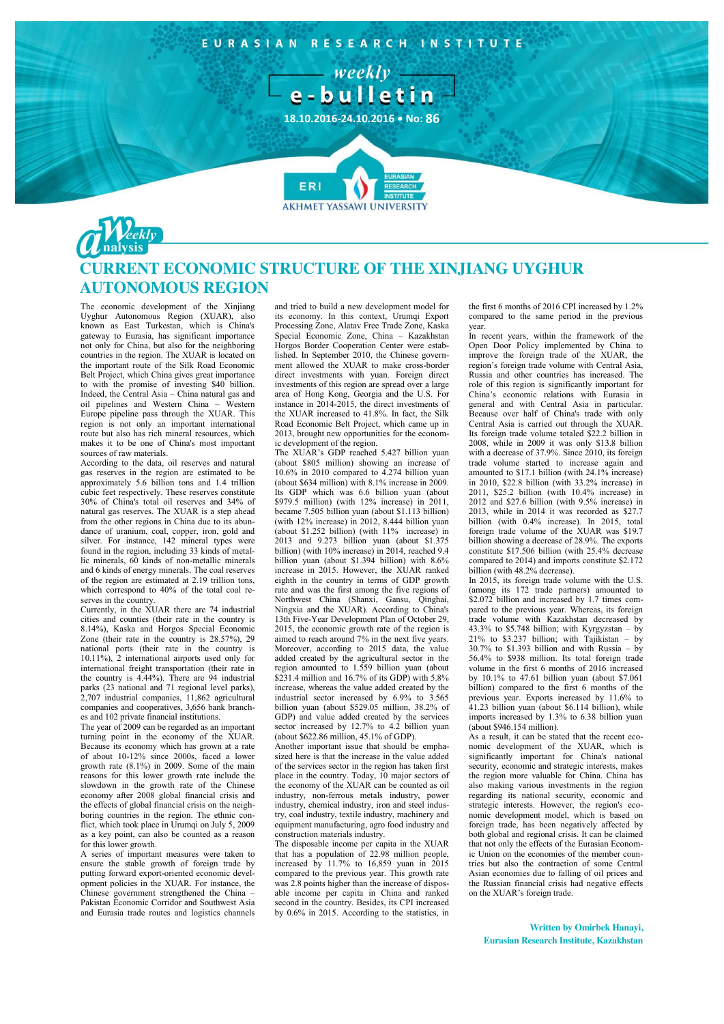

## **CURRENT ECONOMIC STRUCTURE OF THE XINJIANG UYGHUR AUTONOMOUS REGION**

The economic development of the Xinjiang Uyghur Autonomous Region (XUAR), also known as East Turkestan, which is China's gateway to Eurasia, has significant importance not only for China, but also for the neighboring countries in the region. The XUAR is located on the important route of the Silk Road Economic Belt Project, which China gives great importance to with the promise of investing \$40 billion. Indeed, the Central Asia – China natural gas and oil pipelines and Western China – Western Europe pipeline pass through the XUAR. This region is not only an important international route but also has rich mineral resources, which makes it to be one of China's most important sources of raw materials.

According to the data, oil reserves and natural gas reserves in the region are estimated to be approximately 5.6 billion tons and 1.4 trillion cubic feet respectively. These reserves constitute 30% of China's total oil reserves and 34% of natural gas reserves. The XUAR is a step ahead from the other regions in China due to its abundance of uranium, coal, copper, iron, gold and silver. For instance, 142 mineral types were found in the region, including 33 kinds of metallic minerals, 60 kinds of non-metallic minerals and 6 kinds of energy minerals. The coal reserves of the region are estimated at 2.19 trillion tons, which correspond to 40% of the total coal reserves in the country.

Currently, in the XUAR there are 74 industrial cities and counties (their rate in the country is 8.14%), Kaska and Horgos Special Economic Zone (their rate in the country is 28.57%), 29 national ports (their rate in the country is 10.11%), 2 international airports used only for international freight transportation (their rate in the country is 4.44%). There are 94 industrial parks (23 national and 71 regional level parks), 2,707 industrial companies, 11,862 agricultural companies and cooperatives, 3,656 bank branches and 102 private financial institutions.

The year of 2009 can be regarded as an important turning point in the economy of the XUAR. Because its economy which has grown at a rate of about 10-12% since 2000s, faced a lower growth rate (8.1%) in 2009. Some of the main reasons for this lower growth rate include the slowdown in the growth rate of the Chinese economy after 2008 global financial crisis and the effects of global financial crisis on the neighboring countries in the region. The ethnic conflict, which took place in Urumqi on July 5, 2009 as a key point, can also be counted as a reason for this lower growth.

A series of important measures were taken to ensure the stable growth of foreign trade by putting forward export-oriented economic development policies in the XUAR. For instance, the Chinese government strengthened the China – Pakistan Economic Corridor and Southwest Asia and Eurasia trade routes and logistics channels

and tried to build a new development model for its economy. In this context, Urumqi Export Processing Zone, Alatav Free Trade Zone, Kaska Special Economic Zone, China – Kazakhstan Horgos Border Cooperation Center were established. In September 2010, the Chinese government allowed the XUAR to make cross-border direct investments with yuan. Foreign direct investments of this region are spread over a large area of Hong Kong, Georgia and the U.S. For instance in 2014-2015, the direct investments of the XUAR increased to 41.8%. In fact, the Silk Road Economic Belt Project, which came up in 2013, brought new opportunities for the economic development of the region.

The XUAR's GDP reached 5.427 billion yuan (about \$805 million) showing an increase of 10.6% in 2010 compared to 4.274 billion yuan (about \$634 million) with 8.1% increase in 2009. Its GDP which was 6.6 billion yuan (about \$979.5 million) (with 12% increase) in 2011, became 7.505 billion yuan (about \$1.113 billion) (with 12% increase) in 2012, 8.444 billion yuan (about \$1.252 billion) (with 11% increase) in 2013 and 9.273 billion yuan (about \$1.375 billion) (with 10% increase) in 2014, reached 9.4 billion yuan (about \$1.394 billion) with 8.6% increase in 2015. However, the XUAR ranked eighth in the country in terms of GDP growth rate and was the first among the five regions of Northwest China (Shanxi, Gansu, Qinghai, Ningxia and the XUAR). According to China's 13th Five-Year Development Plan of October 29, 2015, the economic growth rate of the region is aimed to reach around 7% in the next five years. Moreover, according to 2015 data, the value added created by the agricultural sector in the region amounted to 1.559 billion yuan (about \$231.4 million and 16.7% of its GDP) with 5.8% increase, whereas the value added created by the industrial sector increased by 6.9% to 3.565 billion yuan (about \$529.05 million, 38.2% of GDP) and value added created by the services sector increased by 12.7% to 4.2 billion yuan (about \$622.86 million, 45.1% of GDP).

Another important issue that should be emphasized here is that the increase in the value added of the services sector in the region has taken first place in the country. Today, 10 major sectors of the economy of the XUAR can be counted as oil industry, non-ferrous metals industry, power industry, chemical industry, iron and steel industry, coal industry, textile industry, machinery and equipment manufacturing, agro food industry and construction materials industry.

The disposable income per capita in the XUAR that has a population of 22.98 million people, increased by  $11.7\%$  to 16,859 yuan in  $2015$ compared to the previous year. This growth rate was 2.8 points higher than the increase of disposable income per capita in China and ranked second in the country. Besides, its CPI increased by 0.6% in 2015. According to the statistics, in the first 6 months of 2016 CPI increased by 1.2% compared to the same period in the previous year.

In recent years, within the framework of the Open Door Policy implemented by China to improve the foreign trade of the XUAR, the region's foreign trade volume with Central Asia, Russia and other countries has increased. The role of this region is significantly important for China's economic relations with Eurasia in general and with Central Asia in particular. Because over half of China's trade with only Central Asia is carried out through the XUAR. Its foreign trade volume totaled \$22.2 billion in 2008, while in 2009 it was only \$13.8 billion with a decrease of 37.9%. Since 2010, its foreign trade volume started to increase again and amounted to \$17.1 billion (with 24.1% increase) in 2010, \$22.8 billion (with 33.2% increase) in 2011, \$25.2 billion (with 10.4% increase) in 2012 and \$27.6 billion (with 9.5% increase) in 2013, while in 2014 it was recorded as \$27.7 billion (with 0.4% increase). In 2015, total foreign trade volume of the XUAR was \$19.7 billion showing a decrease of 28.9%. The exports constitute \$17.506 billion (with 25.4% decrease compared to 2014) and imports constitute \$2.172 billion (with 48.2% decrease).

In 2015, its foreign trade volume with the U.S. (among its 172 trade partners) amounted to \$2.072 billion and increased by 1.7 times compared to the previous year. Whereas, its foreign trade volume with Kazakhstan decreased by 43.3% to \$5.748 billion; with Kyrgyzstan – by  $21\%$  to \$3.237 billion; with Tajikistan – by 30.7% to \$1.393 billion and with Russia – by 56.4% to \$938 million. Its total foreign trade volume in the first 6 months of 2016 increased by 10.1% to 47.61 billion yuan (about \$7.061 billion) compared to the first 6 months of the previous year. Exports increased by 11.6% to 41.23 billion yuan (about \$6.114 billion), while imports increased by 1.3% to 6.38 billion yuan (about \$946.154 million).

As a result, it can be stated that the recent economic development of the XUAR, which is significantly important for China's national security, economic and strategic interests, makes the region more valuable for China. China has also making various investments in the region regarding its national security, economic and strategic interests. However, the region's economic development model, which is based on foreign trade, has been negatively affected by both global and regional crisis. It can be claimed that not only the effects of the Eurasian Economic Union on the economies of the member countries but also the contraction of some Central Asian economies due to falling of oil prices and the Russian financial crisis had negative effects on the XUAR's foreign trade.